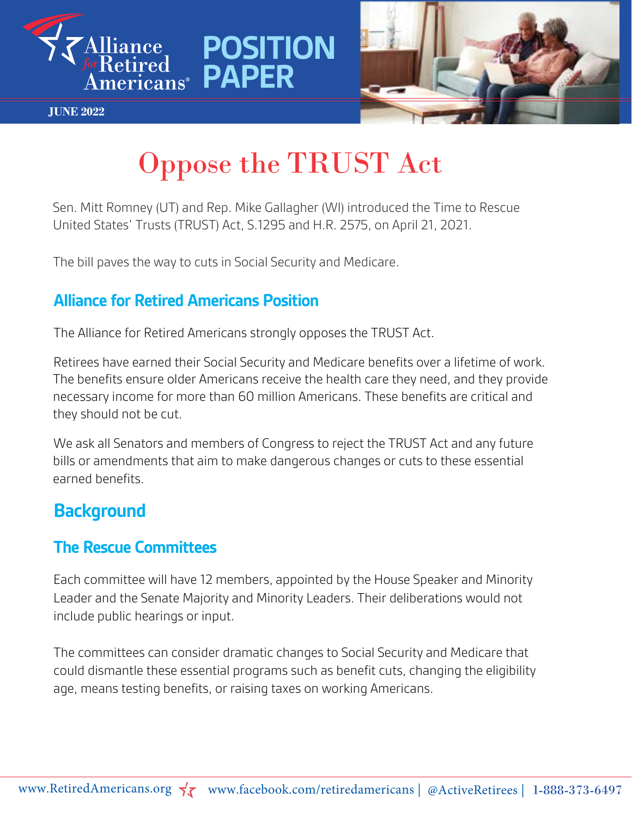



#### **JUNE 2022**

# Oppose the TRUST Act

**POSITION** 

Sen. Mitt Romney (UT) and Rep. Mike Gallagher (WI) introduced the Time to Rescue United States' Trusts (TRUST) Act, S.1295 and H.R. 2575, on April 21, 2021.

The bill paves the way to cuts in Social Security and Medicare.

#### **Alliance for Retired Americans Position**

The Alliance for Retired Americans strongly opposes the TRUST Act.

Retirees have earned their Social Security and Medicare benefits over a lifetime of work. The benefits ensure older Americans receive the health care they need, and they provide necessary income for more than 60 million Americans. These benefits are critical and they should not be cut.

We ask all Senators and members of Congress to reject the TRUST Act and any future bills or amendments that aim to make dangerous changes or cuts to these essential earned benefits.

### **Background**

#### **The Rescue Committees**

Each committee will have 12 members, appointed by the House Speaker and Minority Leader and the Senate Majority and Minority Leaders. Their deliberations would not include public hearings or input.

The committees can consider dramatic changes to Social Security and Medicare that could dismantle these essential programs such as benefit cuts, changing the eligibility age, means testing benefits, or raising taxes on working Americans.